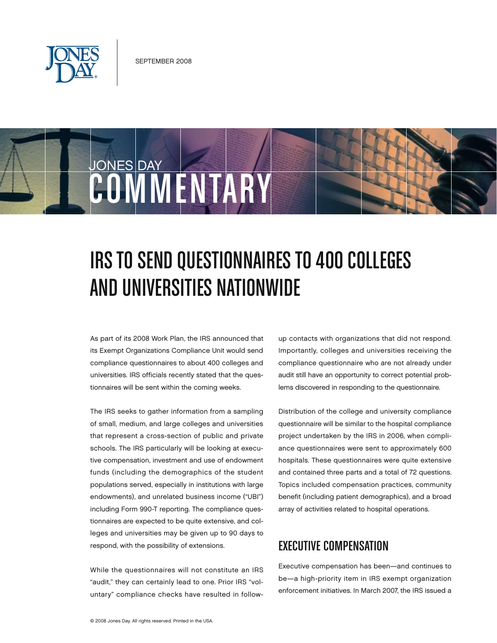

JONES DAY

# IRS TO SEND QUESTIONNAIRES TO 400 COLLEGES and Universities Nationwide

As part of its 2008 Work Plan, the IRS announced that its Exempt Organizations Compliance Unit would send compliance questionnaires to about 400 colleges and universities. IRS officials recently stated that the questionnaires will be sent within the coming weeks.

COMMENTARY

The IRS seeks to gather information from a sampling of small, medium, and large colleges and universities that represent a cross-section of public and private schools. The IRS particularly will be looking at executive compensation, investment and use of endowment funds (including the demographics of the student populations served, especially in institutions with large endowments), and unrelated business income ("UBI") including Form 990-T reporting. The compliance questionnaires are expected to be quite extensive, and colleges and universities may be given up to 90 days to respond, with the possibility of extensions.

While the questionnaires will not constitute an IRS "audit," they can certainly lead to one. Prior IRS "voluntary" compliance checks have resulted in followup contacts with organizations that did not respond. Importantly, colleges and universities receiving the compliance questionnaire who are not already under audit still have an opportunity to correct potential problems discovered in responding to the questionnaire.

Distribution of the college and university compliance questionnaire will be similar to the hospital compliance project undertaken by the IRS in 2006, when compliance questionnaires were sent to approximately 600 hospitals. These questionnaires were quite extensive and contained three parts and a total of 72 questions. Topics included compensation practices, community benefit (including patient demographics), and a broad array of activities related to hospital operations.

# Executive Compensation

Executive compensation has been—and continues to be—a high-priority item in IRS exempt organization enforcement initiatives. In March 2007, the IRS issued a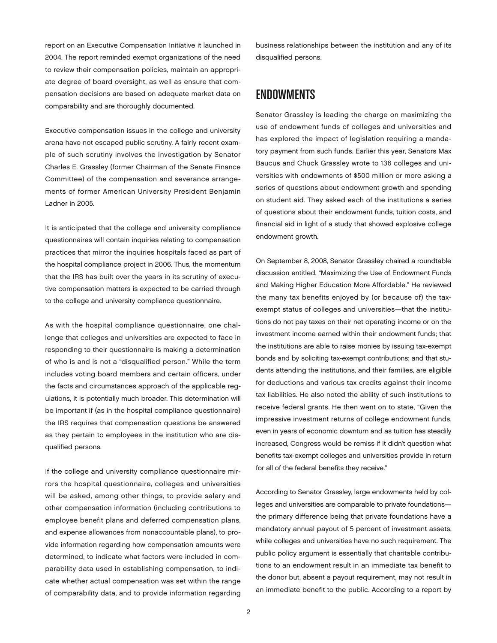report on an Executive Compensation Initiative it launched in 2004. The report reminded exempt organizations of the need to review their compensation policies, maintain an appropriate degree of board oversight, as well as ensure that compensation decisions are based on adequate market data on comparability and are thoroughly documented.

Executive compensation issues in the college and university arena have not escaped public scrutiny. A fairly recent example of such scrutiny involves the investigation by Senator Charles E. Grassley (former Chairman of the Senate Finance Committee) of the compensation and severance arrangements of former American University President Benjamin Ladner in 2005.

It is anticipated that the college and university compliance questionnaires will contain inquiries relating to compensation practices that mirror the inquiries hospitals faced as part of the hospital compliance project in 2006. Thus, the momentum that the IRS has built over the years in its scrutiny of executive compensation matters is expected to be carried through to the college and university compliance questionnaire.

As with the hospital compliance questionnaire, one challenge that colleges and universities are expected to face in responding to their questionnaire is making a determination of who is and is not a "disqualified person." While the term includes voting board members and certain officers, under the facts and circumstances approach of the applicable regulations, it is potentially much broader. This determination will be important if (as in the hospital compliance questionnaire) the IRS requires that compensation questions be answered as they pertain to employees in the institution who are disqualified persons.

If the college and university compliance questionnaire mirrors the hospital questionnaire, colleges and universities will be asked, among other things, to provide salary and other compensation information (including contributions to employee benefit plans and deferred compensation plans, and expense allowances from nonaccountable plans), to provide information regarding how compensation amounts were determined, to indicate what factors were included in comparability data used in establishing compensation, to indicate whether actual compensation was set within the range of comparability data, and to provide information regarding

business relationships between the institution and any of its disqualified persons.

### **ENDOWMENTS**

Senator Grassley is leading the charge on maximizing the use of endowment funds of colleges and universities and has explored the impact of legislation requiring a mandatory payment from such funds. Earlier this year, Senators Max Baucus and Chuck Grassley wrote to 136 colleges and universities with endowments of \$500 million or more asking a series of questions about endowment growth and spending on student aid. They asked each of the institutions a series of questions about their endowment funds, tuition costs, and financial aid in light of a study that showed explosive college endowment growth.

On September 8, 2008, Senator Grassley chaired a roundtable discussion entitled, "Maximizing the Use of Endowment Funds and Making Higher Education More Affordable." He reviewed the many tax benefits enjoyed by (or because of) the taxexempt status of colleges and universities—that the institutions do not pay taxes on their net operating income or on the investment income earned within their endowment funds; that the institutions are able to raise monies by issuing tax-exempt bonds and by soliciting tax-exempt contributions; and that students attending the institutions, and their families, are eligible for deductions and various tax credits against their income tax liabilities. He also noted the ability of such institutions to receive federal grants. He then went on to state, "Given the impressive investment returns of college endowment funds, even in years of economic downturn and as tuition has steadily increased, Congress would be remiss if it didn't question what benefits tax-exempt colleges and universities provide in return for all of the federal benefits they receive."

According to Senator Grassley, large endowments held by colleges and universities are comparable to private foundations the primary difference being that private foundations have a mandatory annual payout of 5 percent of investment assets, while colleges and universities have no such requirement. The public policy argument is essentially that charitable contributions to an endowment result in an immediate tax benefit to the donor but, absent a payout requirement, may not result in an immediate benefit to the public. According to a report by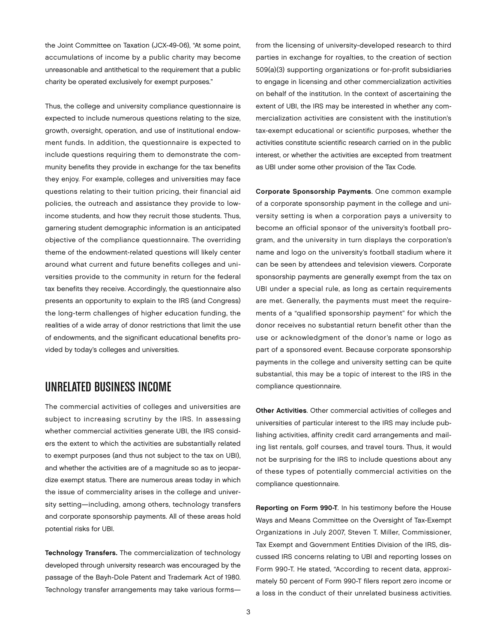the Joint Committee on Taxation (JCX-49-06), "At some point, accumulations of income by a public charity may become unreasonable and antithetical to the requirement that a public charity be operated exclusively for exempt purposes."

Thus, the college and university compliance questionnaire is expected to include numerous questions relating to the size, growth, oversight, operation, and use of institutional endowment funds. In addition, the questionnaire is expected to include questions requiring them to demonstrate the community benefits they provide in exchange for the tax benefits they enjoy. For example, colleges and universities may face questions relating to their tuition pricing, their financial aid policies, the outreach and assistance they provide to lowincome students, and how they recruit those students. Thus, garnering student demographic information is an anticipated objective of the compliance questionnaire. The overriding theme of the endowment-related questions will likely center around what current and future benefits colleges and universities provide to the community in return for the federal tax benefits they receive. Accordingly, the questionnaire also presents an opportunity to explain to the IRS (and Congress) the long-term challenges of higher education funding, the realities of a wide array of donor restrictions that limit the use of endowments, and the significant educational benefits provided by today's colleges and universities.

## Unrelated Business Income

The commercial activities of colleges and universities are subject to increasing scrutiny by the IRS. In assessing whether commercial activities generate UBI, the IRS considers the extent to which the activities are substantially related to exempt purposes (and thus not subject to the tax on UBI), and whether the activities are of a magnitude so as to jeopardize exempt status. There are numerous areas today in which the issue of commerciality arises in the college and university setting—including, among others, technology transfers and corporate sponsorship payments. All of these areas hold potential risks for UBI.

Technology Transfers. The commercialization of technology developed through university research was encouraged by the passage of the Bayh-Dole Patent and Trademark Act of 1980. Technology transfer arrangements may take various formsfrom the licensing of university-developed research to third parties in exchange for royalties, to the creation of section 509(a)(3) supporting organizations or for-profit subsidiaries to engage in licensing and other commercialization activities on behalf of the institution. In the context of ascertaining the extent of UBI, the IRS may be interested in whether any commercialization activities are consistent with the institution's tax-exempt educational or scientific purposes, whether the activities constitute scientific research carried on in the public interest, or whether the activities are excepted from treatment as UBI under some other provision of the Tax Code.

Corporate Sponsorship Payments. One common example of a corporate sponsorship payment in the college and university setting is when a corporation pays a university to become an official sponsor of the university's football program, and the university in turn displays the corporation's name and logo on the university's football stadium where it can be seen by attendees and television viewers. Corporate sponsorship payments are generally exempt from the tax on UBI under a special rule, as long as certain requirements are met. Generally, the payments must meet the requirements of a "qualified sponsorship payment" for which the donor receives no substantial return benefit other than the use or acknowledgment of the donor's name or logo as part of a sponsored event. Because corporate sponsorship payments in the college and university setting can be quite substantial, this may be a topic of interest to the IRS in the compliance questionnaire.

Other Activities. Other commercial activities of colleges and universities of particular interest to the IRS may include publishing activities, affinity credit card arrangements and mailing list rentals, golf courses, and travel tours. Thus, it would not be surprising for the IRS to include questions about any of these types of potentially commercial activities on the compliance questionnaire.

Reporting on Form 990-T*.* In his testimony before the House Ways and Means Committee on the Oversight of Tax-Exempt Organizations in July 2007, Steven T. Miller, Commissioner, Tax Exempt and Government Entities Division of the IRS, discussed IRS concerns relating to UBI and reporting losses on Form 990-T. He stated, "According to recent data, approximately 50 percent of Form 990-T filers report zero income or a loss in the conduct of their unrelated business activities.